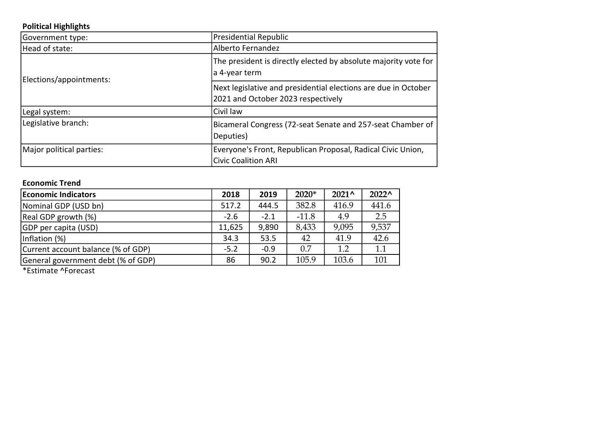### Political Highlights

| Government type:         | <b>Presidential Republic</b>                                                                         |
|--------------------------|------------------------------------------------------------------------------------------------------|
| Head of state:           | Alberto Fernandez                                                                                    |
| Elections/appointments:  | The president is directly elected by absolute majority vote for<br>a 4-year term                     |
|                          | Next legislative and presidential elections are due in October<br>2021 and October 2023 respectively |
| Legal system:            | Civil law                                                                                            |
| Legislative branch:      | Bicameral Congress (72-seat Senate and 257-seat Chamber of<br>Deputies)                              |
| Major political parties: | Everyone's Front, Republican Proposal, Radical Civic Union,<br><b>Civic Coalition ARI</b>            |

#### Economic Trend

| <b>Economic Indicators</b>         | 2018   | 2019   | $2020*$ | $2021^{\circ}$ | $2022^{\circ}$ |
|------------------------------------|--------|--------|---------|----------------|----------------|
| Nominal GDP (USD bn)               | 517.2  | 444.5  | 382.8   | 416.9          | 441.6          |
| Real GDP growth (%)                | $-2.6$ | $-2.1$ | $-11.8$ | 4.9            | 2.5            |
| <b>GDP</b> per capita (USD)        | 11,625 | 9,890  | 8,433   | 9,095          | 9,537          |
| Inflation (%)                      | 34.3   | 53.5   | 42      | 41.9           | 42.6           |
| Current account balance (% of GDP) | $-5.2$ | $-0.9$ | 0.7     | 1.2            | 1.1            |
| General government debt (% of GDP) | 86     | 90.2   | 105.9   | 103.6          | 101            |

\*Estimate ^Forecast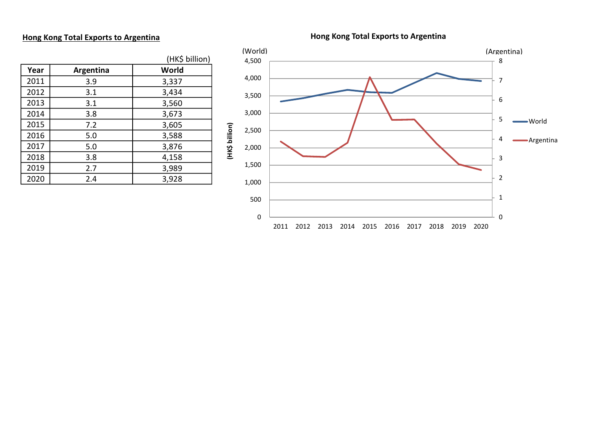#### Hong Kong Total Exports to Argentina

Hong Kong Total Exports to Argentina

|      |           | (HK\$ billion) |
|------|-----------|----------------|
| Year | Argentina | World          |
| 2011 | 3.9       | 3,337          |
| 2012 | 3.1       | 3,434          |
| 2013 | 3.1       | 3,560          |
| 2014 | 3.8       | 3,673          |
| 2015 | 7.2       | 3,605          |
| 2016 | 5.0       | 3,588          |
| 2017 | 5.0       | 3,876          |
| 2018 | 3.8       | 4,158          |
| 2019 | 2.7       | 3,989          |
| 2020 | 2.4       | 3,928          |